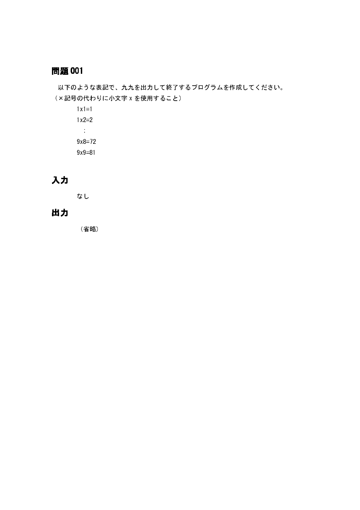以下のような表記で、九九を出力して終了するプログラムを作成してください。 (×記号の代わりに小文字 x を使用すること)

 $1x1=1$  $1x2=2$  $\sim$  $9x8=72$  $9x9=81$ 

# 入力

なし

# 出力

(省略)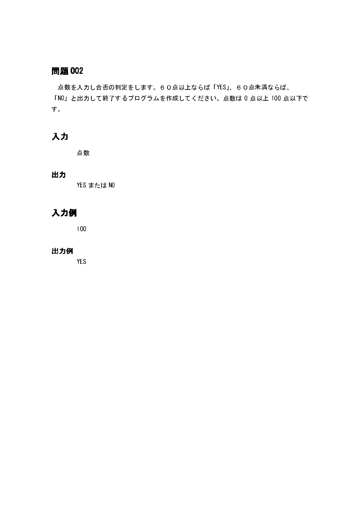点数を入力し合否の判定をします。60点以上ならば「YES」、60点未満ならば、 「NO」と出力して終了するプログラムを作成してください。点数は 0 点以上 100 点以下で す。

# 入力

点数

### 出力

YES または NO

# 入力例

100

#### 出力例

**YES**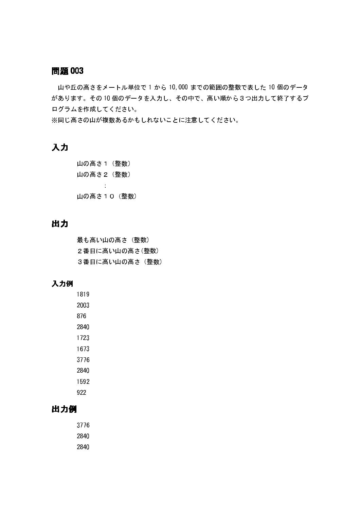山や丘の高さをメートル単位で1から10,000 までの範囲の整数で表した10個のデータ があります。その10個のデータを入力し、その中で、高い順から3つ出力して終了するプ ログラムを作成してください。

※同じ高さの山が複数あるかもしれないことに注意してください。

# 入力

山の高さ1 (整数) 山の高さ2 (整数)  $\sim$ 山の高さ10 (整数)

# 出力

最も高い山の高さ (整数) 2番目に高い山の高さ(整数) 3番目に高い山の高さ (整数)

### 入力例

# 出力例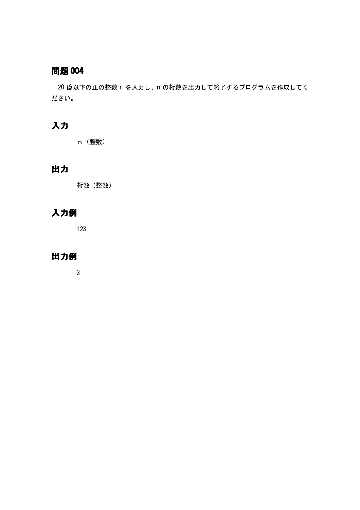20 億以下の正の整数 n を入力し、n の桁数を出力して終了するプログラムを作成してく ださい。

# 入力

n (整数)

# 出力

桁数 (整数)

# 入力例

123

### 出力例

 $\mathbf{3}$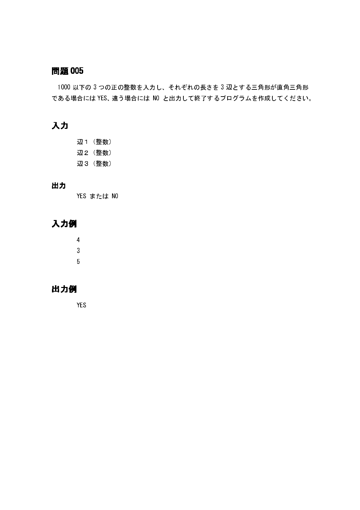1000 以下の 3 つの正の整数を入力し、それぞれの長さを 3 辺とする三角形が直角三角形 である場合には YES、違う場合には NO と出力して終了するプログラムを作成してください。

# 入力

辺1 (整数) 辺2 (整数) 辺3 (整数)

### 出力

YES または NO

# 入力例

 $\overline{4}$  $\mathbf{3}$  $\overline{5}$ 

### 出力例

**YES**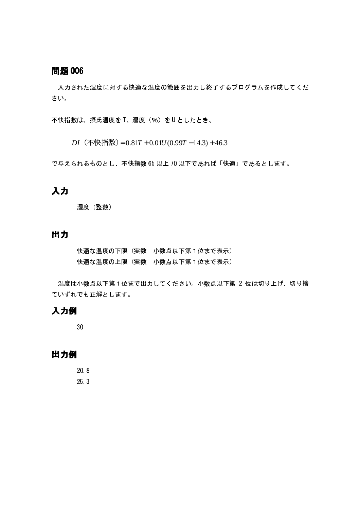入力された湿度に対する快適な温度の範囲を出力し終了するプログラムを作成してくだ さい。

不快指数は、摂氏温度を T、湿度 (%) を U としたとき、

DI  $(\text{\textcircled{F}}$  快指数) = 0.81T + 0.01U(0.99T - 14.3) + 46.3

で与えられるものとし、不快指数 65 以上 70 以下であれば「快適」であるとします。

### 入力

湿度 (整数)

# 出力

快適な温度の下限(実数 小数点以下第1位まで表示) 快適な温度の上限(実数 小数点以下第1位まで表示)

温度は小数点以下第1位まで出力してください。小数点以下第2位は切り上げ、切り捨 ていずれでも正解とします。

### 入力例

 $30$ 

#### 出力例

20 8 25.3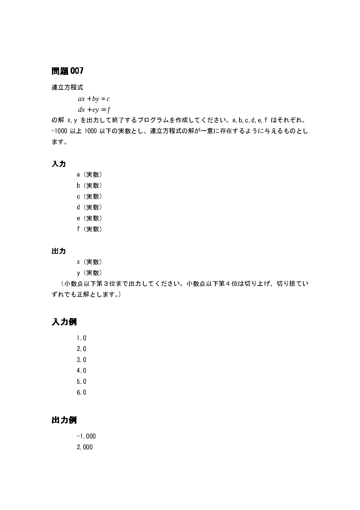連立方程式

 $ax + by = c$ 

 $dx + ey = f$ 

の解 x, y を出力して終了するプログラムを作成してください。a, b, c, d, e, f はそれぞれ、 -1000 以上 1000 以下の実数とし、連立方程式の解が一意に存在するように与えるものとし ます。

### 入力

- a (実数)
- b (実数)
- c (実数)
- d (実数)
- e (実数)
- f (実数)

#### 出力

- x (実数)
- y(実数)

(小数点以下第3位まで出力してください。小数点以下第4位は切り上げ、切り捨てい ずれでも正解とします。)

# 入力例

 $1.0$  $2.0$  $3.0$  $4.0$  $50$  $6<sub>0</sub>$ 

# 出力例

 $-1.000$  $2.000$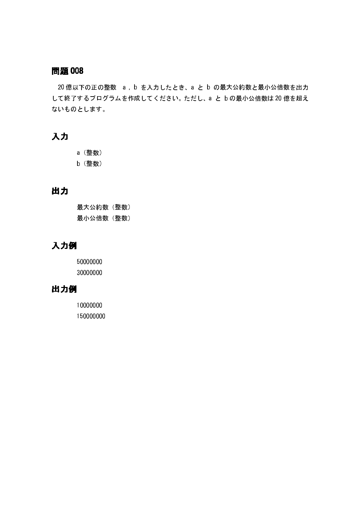20 億以下の正の整数 a, b を入力したとき、a と b の最大公約数と最小公倍数を出力 して終了するプログラムを作成してください。ただし、a と b の最小公倍数は 20 億を超え ないものとします。

# 入力

a (整数) b (整数)

# 出力

最大公約数 (整数) 最小公倍数 (整数)

# 入力例

50000000 30000000

# 出力例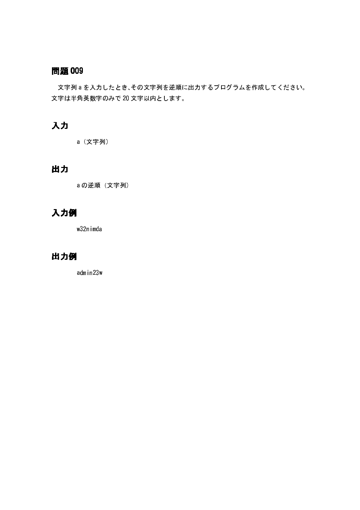文字列aを入力したとき、その文字列を逆順に出力するプログラムを作成してください。 文字は半角英数字のみで20文字以内とします。

# 入力

a (文字列)

# 出力

a の逆順 (文字列)

# 入力例

w32nimda

# 出力例

admin23w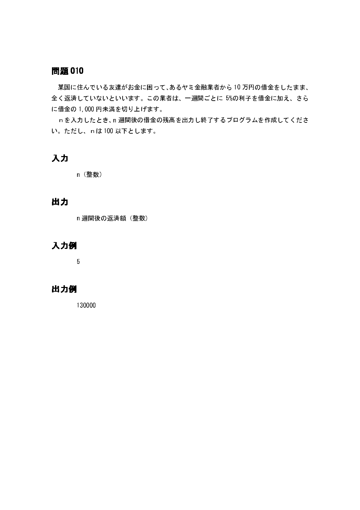某国に住んでいる友達がお金に困って、あるヤミ金融業者から10万円の借金をしたまま、 全く返済していないといいます。この業者は、一週間ごとに 5%の利子を借金に加え、さら に借金の1,000円未満を切り上げます。

n を入力したとき、n 週間後の借金の残高を出力し終了するプログラムを作成してくださ い。ただし、nは100以下とします。

# 入力

n (整数)

# 出力

n 週間後の返済額 (整数)

# 入力例

 $\overline{5}$ 

# 出力例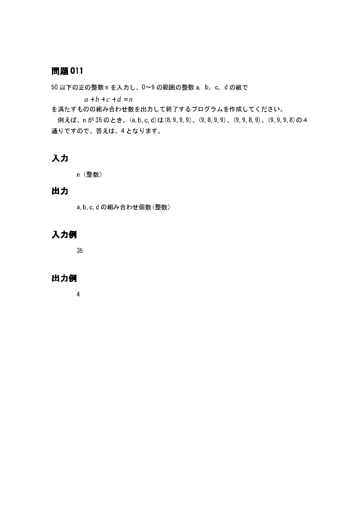50 以下の正の整数 n を入力し、0~9 の範囲の整数 a, b, c, d の組で

 $a+b+c+d=n$ 

を満たすものの組み合わせ数を出力して終了するプログラムを作成してください。

例えば、n が 35 のとき、(a, b, c, d)は (8, 9, 9, 9)、 (9, 8, 9, 9)、 (9, 9, 8, 9)、 (9, 9, 9, 8)の 4 通りですので、答えは、4となります。

# 入力

n (整数)

# 出力

a, b, c, d の組み合わせ個数 (整数)

# 入力例

35

# 出力例

 $\overline{4}$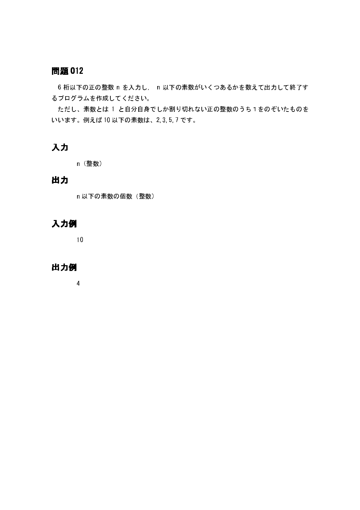6 桁以下の正の整数 n を入力し、 n 以下の素数がいくつあるかを数えて出力して終了す るプログラムを作成してください。

ただし、素数とは 1 と自分自身でしか割り切れない正の整数のうち1をのぞいたものを いいます。例えば10以下の素数は、2,3,5,7です。

# 入力

n (整数)

# 出力

n 以下の素数の個数 (整数)

# 入力例

 $10$ 

### 出力例

 $\overline{4}$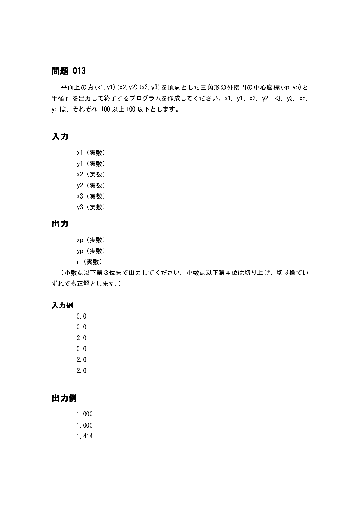平面上の点(x1,y1)(x2,y2)(x3,y3)を頂点とした三角形の外接円の中心座標(xp,yp)と 半径 r を出力して終了するプログラムを作成してください。x1. y1. x2. y2. x3. y3. xp. yp は、それぞれ-100 以上 100 以下とします。

### 入力

- x1 (実数)
- y1 (実数)
- x2 (実数)
- y2 (実数)
- x3 (実数)
- y3 (実数)

# 出力

- xp (実数)
- yp (実数)
- r (実数)

(小数点以下第3位まで出力してください。小数点以下第4位は切り上げ、切り捨てい ずれでも正解とします。)

#### 入力例

 $0.0$ 

- $0.0$
- $2<sub>0</sub>$
- $0<sub>0</sub>$
- $2.0$
- $2.0$

# 出力例

- $1.000$
- 1.000
- 1 4 1 4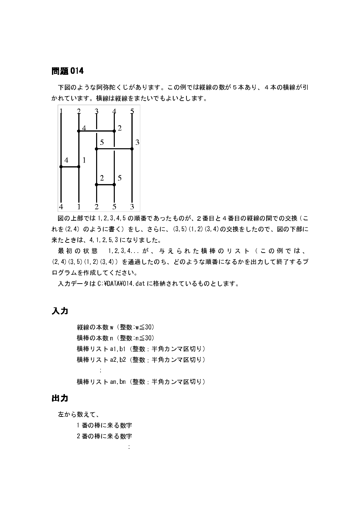下図のような阿弥陀くじがあります。この例では縦線の数が5本あり、4本の横線が引 かれています。横線は縦線をまたいでもよいとします。



図の上部では1.2.3.4.5の順番であったものが、2番目と4番目の縦線の間での交換(こ れを(2.4) のように書く) をし、さらに、(3.5) (1.2) (3.4)の交換をしたので、図の下部に 来たときは、4.1.2.5.3になりました。

最初の状態 1.2.3.4 が、与えられた横棒のリスト(この例では、 (2,4)(3,5)(1,2)(3,4)) を通過したのち、どのような順番になるかを出力して終了するプ ログラムを作成してください。

入力データは C:¥DATA¥014 dat に格納されているものとします。

# 入力

縦線の本数 w (整数 w≦30) 横棒の本数 n (整数: n≦30) 横棒リスト a1.b1 (整数: 半角カンマ区切り) 横棒リスト a2, b2 (整数: 半角カンマ区切り) 横棒リスト an, bn (整数: 半角カンマ区切り)

### 出力

左から数えて、

1番の棒に来る数字

2番の棒に来る数字

÷,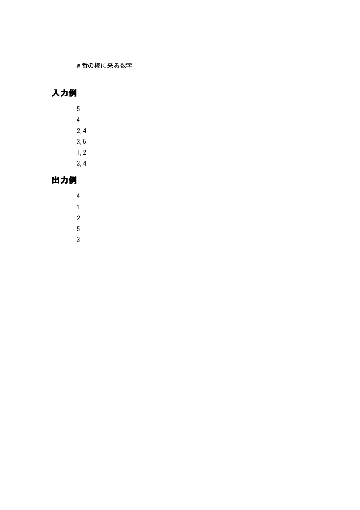w番の棒に来る数字

# 入力例

- $\overline{5}$  $\overline{4}$  $2, 4$
- $3, 5$
- $1, 2$
- $3, 4$

# 出力例

- $\overline{4}$
- $\overline{1}$
- $\overline{2}$
- $\overline{5}$
- $\overline{3}$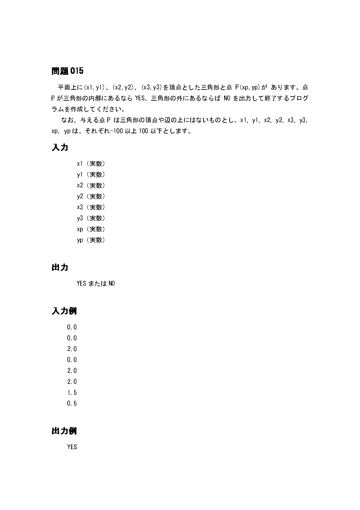平面上に(x1,y1)、(x2,y2)、(x3,y3)を頂点とした三角形と点 P(xp,yp)が あります。点 P が三角形の内部にあるなら YES、三角形の外にあるならば NO を出力して終了するプログ ラムを作成してください。

なお、与える点 P は三角形の頂点や辺の上にはないものとし、x1. y1. x2. y2. x3. y3. xp. yp は、それぞれ-100 以上 100 以下とします。

### 入力

- x1 (実数)
- y1 (実数)
- x2 (実数)
- y2 (実数)
- x3 (実数)
- y3 (実数)
- xp (実数)
- yp (実数)

# 出力

YES または NO

# 入力例

 $0.0$ 

- $0.0$
- $2.0$
- $0<sub>0</sub>$
- $2.0$
- $2.0$
- $1.5$
- $0<sub>5</sub>$

### 出力例

**YES**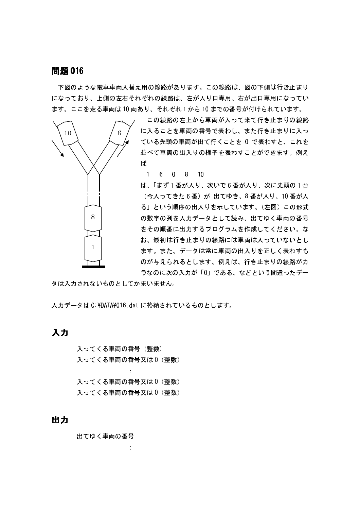下図のような電車車両入替え用の線路があります。この線路は、図の下側は行き止まり になっており、上側の左右それぞれの線路は、左が入り口専用、右が出口専用になってい ます。ここを走る車両は10両あり、それぞれ1から10までの番号が付けられています。



この線路の左上から車両が入って来て行き止まりの線路 に入ることを車両の番号で表わし、また行き止まりに入っ ている先頭の車両が出て行くことを 0 で表わすと、これを 並べて車両の出入りの様子を表わすことができます。例え ば

#### 6 0 8 10  $-1$

は、「まず1番が入り、次いで6番が入り、次に先頭の1台 (今入ってきた6番)が出てゆき、8番が入り、10番が入 る」という順序の出入りを示しています。(左図)この形式 の数字の列を入力データとして読み、出てゆく車両の番号 をその順番に出力するプログラムを作成してください。な お、最初は行き止まりの線路には車両は入っていないとし ます。また、データは常に車両の出入りを正しく表わすも のが与えられるとします。例えば、行き止まりの線路がカ ラなのに次の入力が「0」である、などという間違ったデー

タは入力されないものとしてかまいません。

入力データは C:¥DATA¥016 dat に格納されているものとします。

### 入力

入ってくる車両の番号 (整数) 入ってくる車両の番号又は0 (整数)

入ってくる車両の番号又は0 (整数) 入ってくる車両の番号又は0 (整数)

#### 出力

出てゆく車両の番号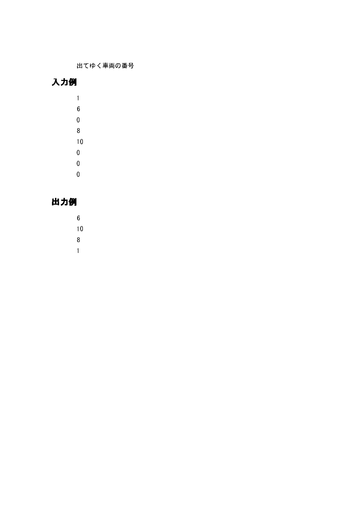出てゆく車両の番号

# 入力例

- $\overline{1}$
- $\boldsymbol{6}$
- $\overline{0}$
- $\overline{8}$
- $10$
- $\overline{0}$
- $\overline{0}$
- $\overline{0}$
- 

# 出力例

- $\bf{6}$
- $10$
- $\overline{8}$
- $\overline{1}$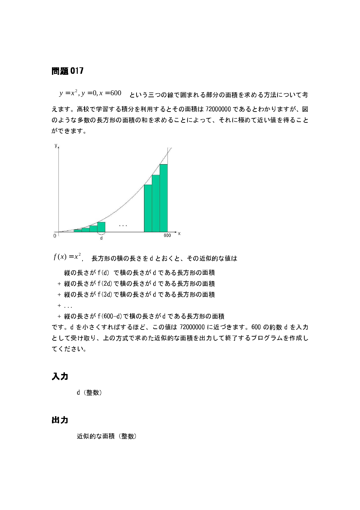$y = x^2$ ,  $y = 0$ ,  $x = 600$  という三つの線で囲まれる部分の面積を求める方法について考 えます。高校で学習する積分を利用するとその面積は72000000であるとわかりますが、図 のような多数の長方形の面積の和を求めることによって、それに極めて近い値を得ること ができます。



 $f(x) = x^2$ , 長方形の横の長さをdとおくと、その近似的な値は

縦の長さが f (d) で横の長さが d である長方形の面積

+ 縦の長さが f (2d) で横の長さが d である長方形の面積

+ 縦の長さが f (3d) で横の長さが d である長方形の面積

 $\pm$  100  $^{\circ}$ 

+ 縦の長さが f (600-d) で横の長さが d である長方形の面積

です。d を小さくすればするほど、この値は 72000000 に近づきます。600 の約数 d を入力 として受け取り、上の方式で求めた近似的な面積を出力して終了するプログラムを作成し てください。

### 入力

d (整数)

### 出力

近似的な面積 (整数)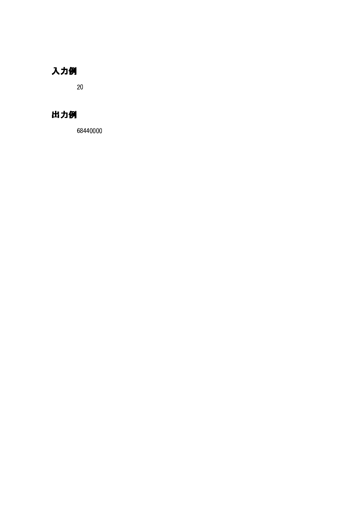# 入力例

 $20\degree$ 

# 出力例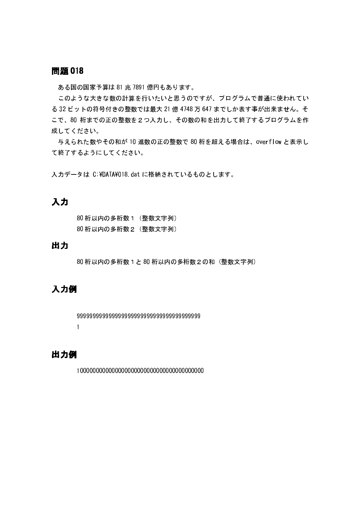ある国の国家予算は81兆 7891億円もあります。

このような大きな数の計算を行いたいと思うのですが、プログラムで普通に使われてい る 32 ビットの符号付きの整数では最大 21 億 4748 万 647 までしか表す事が出来ません。そ こで、80 桁までの正の整数を2つ入力し、その数の和を出力して終了するプログラムを作 成してください。

与えられた数やその和が10 進数の正の整数で80 桁を超える場合は、overflow と表示し て終了するようにしてください。

入力データは C:¥DATA¥018 dat に格納されているものとします。

### 入力

80 桁以内の多桁数 1 (整数文字列) 80 桁以内の多桁数2 (整数文字列)

### 出力

80 桁以内の多桁数 1 と 80 桁以内の多桁数 2 の和 (整数文字列)

### 入力例

```
\mathbf{1}
```
### 出力例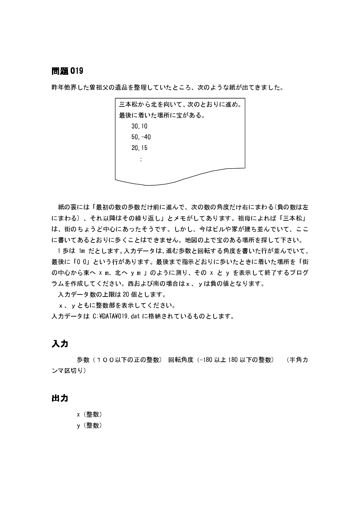昨年他界した曽祖父の遺品を整理していたところ、次のような紙が出てきました。



紙の裏には「最初の数の歩数だけ前に進んで、次の数の角度だけ右にまわる(負の数は左 にまわる)、それ以降はその繰り返し」とメモがしてあります。祖母によれば「三本松」 は、街のちょうど中心にあったそうです。しかし、今はビルや家が建ち並んでいて、ここ に書いてあるとおりに歩くことはできません。地図の上で宝のある場所を探して下さい。

1 歩は 1m だとします。入力データは、進む歩数と回転する角度を書いた行が並んでいて、 最後に「00」という行があります。最後まで指示どおりに歩いたときに着いた場所を「街 の中心から東へ x m、北へ y m 」のように測り、その x と y を表示して終了するプログ ラムを作成してください。西および南の場合はx、vは負の値となります。

入力データ数の上限は20個とします。

x、yともに整数部を表示してください。

入力データは C ¥DATA¥019 dat に格納されているものとします。

### 入力

歩数(100以下の正の整数) 回転角度(-180 以上 180 以下の整数) (半角カ ンマ区切り)

### 出力

- x(整数)
- y(整数)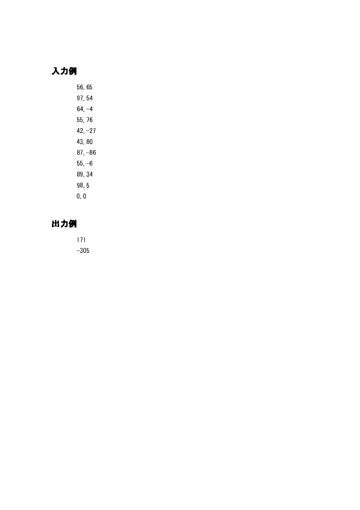# 入力例

56,65 97,54  $64, -4$ 55,76  $42, -27$ 43,80  $87, -86$  $55, -6$ 89, 34  $98, 5$  $0, 0$ 

# 出力例

 $171$  $-305$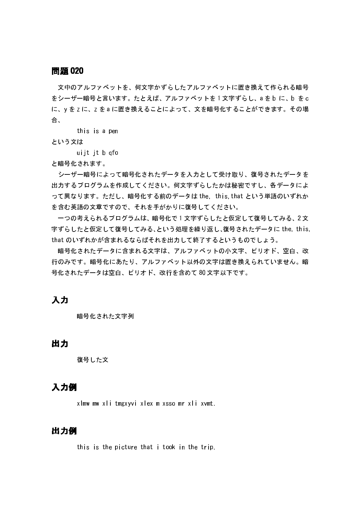文中のアルファベットを、何文字かずらしたアルファベットに置き換えて作られる暗号 をシーザー暗号と言います。 たとえば、 アルファベットを1 文字ずらし、a をb に、b をc に、yをzに、zをaに置き換えることによって、文を暗号化することができます。その場 合.

this is a pen

という文は

uijt jt b gfo

と暗号化されます。

シーザー暗号によって暗号化されたデータを入力として受け取り、復号されたデータを 出力するプログラムを作成してください。何文字ずらしたかは秘密ですし、各データによ って異なります。ただし、暗号化する前のデータは the this that という単語のいずれか を含む英語の文章ですので、それを手がかりに復号してください。

一つの考えられるプログラムは、暗号化で1文字ずらしたと仮定して復号してみる、2文 字ずらしたと仮定して復号してみる、という処理を繰り返し、復号されたデータに the. this. that のいずれかが含まれるならばそれを出力して終了するというものでしょう。

暗号化されたデータに含まれる文字は、アルファベットの小文字、ピリオド、空白、改 行のみです。暗号化にあたり、アルファベット以外の文字は置き換えられていません。暗 号化されたデータは空白、ピリオド、改行を含めて80文字以下です。

### 入力

暗号化された文字列

### 出力

復号した文

#### 入力例

xlmw mw xli tmgxyvi xlex m xsso mr xli xvmt.

### 出力例

this is the picture that i took in the trip.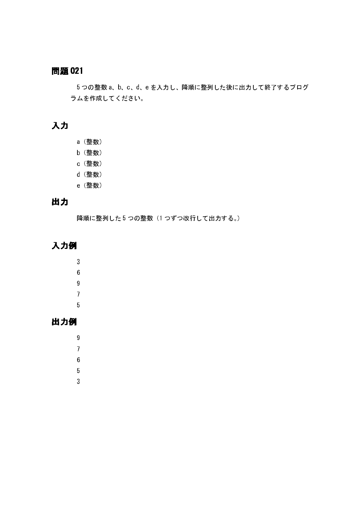5つの整数 a、b、c、d、e を入力し、降順に整列した後に出力して終了するプログ ラムを作成してください。

# 入力

- a (整数)
- b (整数)
- c (整数)
- d (整数)
- e (整数)

# 出力

降順に整列した5つの整数(1つずつ改行して出力する。)

# 入力例

- $\overline{3}$  $\boldsymbol{6}$  $\overline{9}$ 
	-
	- $\overline{7}$
	- $5\phantom{a}$

# 出力例

- $\boldsymbol{9}$  $\overline{7}$  $6\phantom{a}$ 
	- $\overline{5}$
	- $\overline{3}$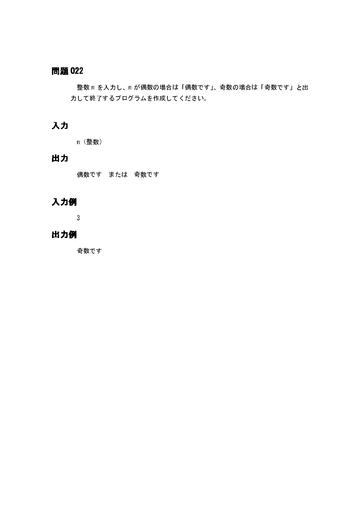整数 n を入力し、n が偶数の場合は「偶数です」、奇数の場合は「奇数です」と出 力して終了するプログラムを作成してください。

# 入力

n (整数)

# 出力

偶数です または 奇数です

# 入力例

 $\overline{3}$ 

### 出力例

奇数です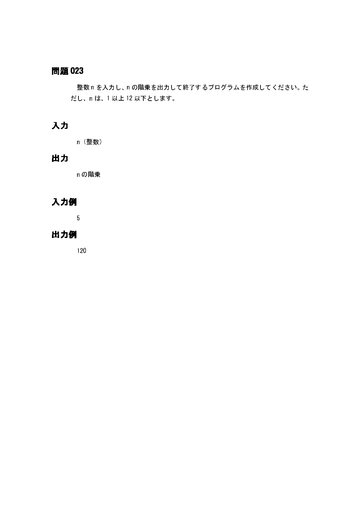整数 n を入力し、n の階乗を出力して終了するプログラムを作成してください。た だし、nは、1以上12以下とします。

# 入力

n (整数)

# 出力

n の階乗

# 入力例

 $5\overline{5}$ 

### 出力例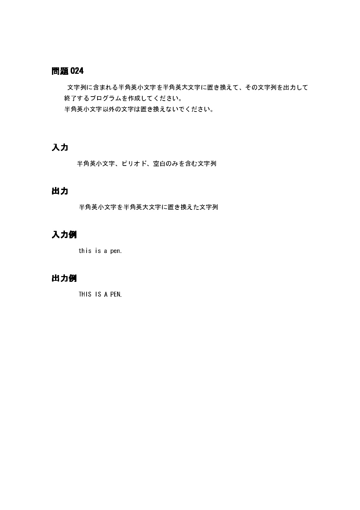文字列に含まれる半角英小文字を半角英大文字に置き換えて、その文字列を出力して 終了するプログラムを作成してください。 半角英小文字以外の文字は置き換えないでください。

### 入力

半角英小文字、ピリオド、空白のみを含む文字列

# 出力

半角英小文字を半角英大文字に置き換えた文字列

# 入力例

this is a pen.

# 出力例

THIS IS A PEN.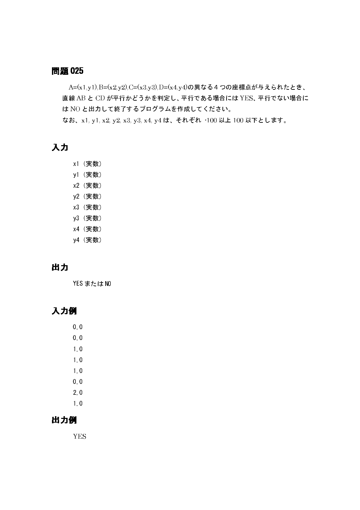A=(x1,y1),B=(x2,y2),C=(x3,y3),D=(x4,y4)の異なる4つの座標点が与えられたとき、 直線 AB と CD が平行かどうかを判定し、平行である場合には YES、平行でない場合に は NO と出力して終了するプログラムを作成してください。 なお、x1, y1, x2, y2, x3, y3, x4, y4 は、それぞれ 100 以上 100 以下とします。

# 入力

- x1 (実数)
- y1 (実数)
- x2 (実数)
- y2 (実数)
- x3 (実数)
- y3 (実数)
- x4 (実数)
- y4 (実数)

# 出力

YES または NO

# 入力例

- $0<sub>0</sub>$
- $0.0$
- $1<sub>0</sub>$
- $1.0$
- $1.0$
- $0<sub>0</sub>$
- $2.0$
- $1<sub>0</sub>$

### 出力例

**YES**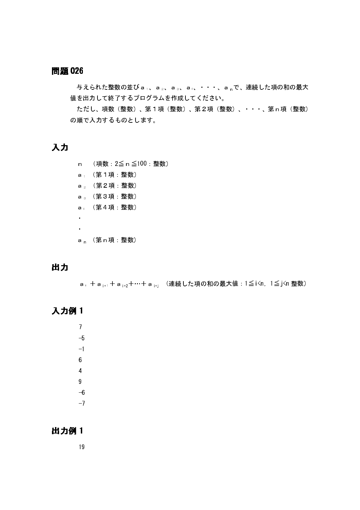与えられた整数の並びa1、a2、a3、a4、···、anで、連続した項の和の最大 値を出力して終了するプログラムを作成してください。

ただし、項数(整数)、第1項(整数)、第2項(整数)、 等、第n項(整数) の順で入力するものとします。

### 入力

- n (項数: 2≦ n ≦100: 整数)
- a (第1項 整数)
- a<sub>2</sub> (第2項:整数)
- a<sub>3</sub> (第3項 整数)
- a<sub>4</sub> (第4項 整数)

 $\mathbf{r}$  $\mathbf{r}$ 

a (第n項:整数)

# 出力

a<sub>i</sub> + a<sub>i+1</sub> + a<sub>i+2</sub> +… + a<sub>i+j</sub> (連続した項の和の最大値: 1≦i<n, 1≦j<n 整数)

# 入力例1

- $\overline{7}$  $-5$  $-1$  $6\phantom{.0}$  $\overline{4}$  $9<sup>°</sup>$  $-6$
- $-7$

### 出力例1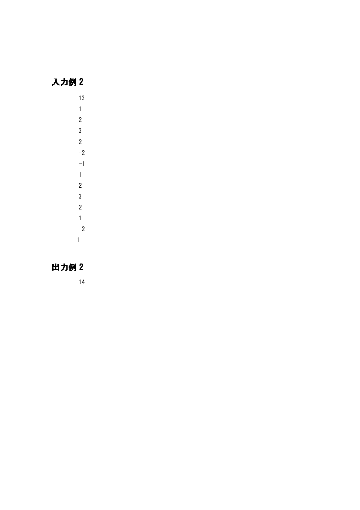### monic and the contract of the contract of the contract of the contract of the contract of the contract of the contract of the contract of the contract of the contract of the contract of the contract of the contract of the

q <sup>x</sup>  $\overline{1}$ w $\overline{3}$ w $-2$  $-1$  $\overline{1}$ w $\overline{3}$ w $\overline{1}$  $-2$ 

### z na matangan na matangan sa matangan sa matangan na matangan na matangan na matangan na matangan na matangan na matangan na matangan na matangan na matangan na matangan na matangan na matangan na matangan na matangan na m

 $\mathbf{v}$ 

and the contract of the contract of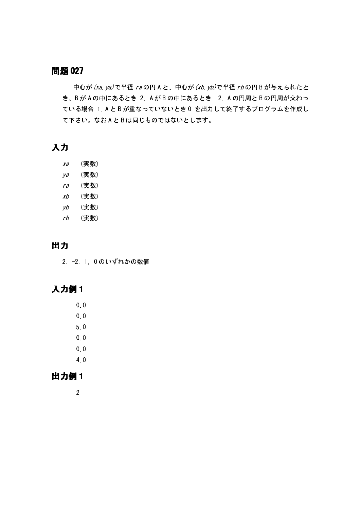中心が (xa, ya) で半径 raの円 A と、中心が (xb, yb) で半径 rb の円 B が与えられたと き、B が A の中にあるとき 2. A が B の中にあるとき -2. A の円周と B の円周が交わっ ている場合 1. A とB が重なっていないとき0 を出力して終了するプログラムを作成し て下さい。なおAとBは同じものではないとします。

### 入力

- $Xa$ (実数)  $\mathsf{y}\mathsf{a}$ (実数) (実数)  $ra$  $xb$ (実数)  $yb$ (実数)  $rb$ (実数)
- 出力

2 -2 1 0のいずれかの数値

# 入力例1

- $0<sub>0</sub>$
- $0.0$
- $50$
- $0<sub>0</sub>$
- $0.0$
- $40$

# 出力例1

 $\overline{2}$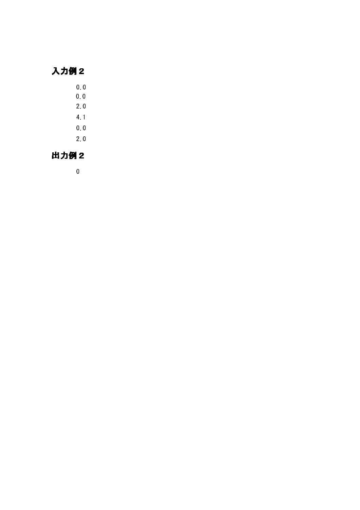# 入力例2

- $0\ 0$  $0.0$
- $2.0$
- $4.1$
- $0\ 0$
- $2.0$

# 出力例2

 $\pmb{0}$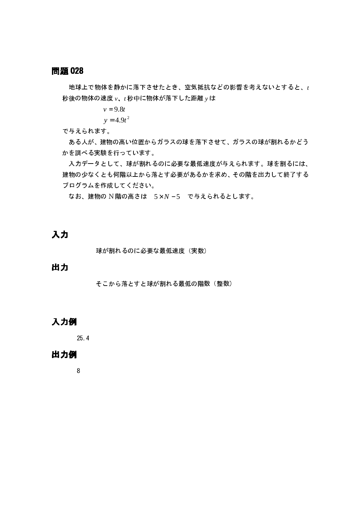地球上で物体を静かに落下させたとき、空気抵抗などの影響を考えないとすると、t 秒後の物体の速度 v、t 秒中に物体が落下した距離 y は

 $v = 9.8t$ 

$$
y = 4.9t^2
$$

で与えられます。

ある人が、建物の高い位置からガラスの球を落下させて、ガラスの球が割れるかどう かを調べる実験を行っています。

入力データとして、球が割れるのに必要な最低速度が与えられます。球を割るには、 建物の少なくとも何階以上から落とす必要があるかを求め、その階を出力して終了する プログラムを作成してください。

なお、建物の N 階の高さは 5×N-5 で与えられるとします。

入力

球が割れるのに必要な最低速度(実数)

#### 出力

そこから落とすと球が割れる最低の階数 (整数)

### 入力例

 $25.4$ 

#### 出力例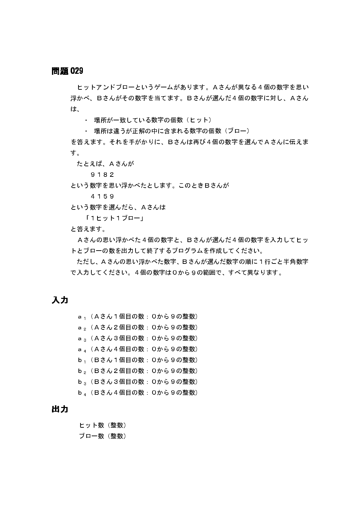ヒットアンドブローというゲームがあります。Aさんが異なる4個の数字を思い 浮かべ、Bさんがその数字を当てます。Bさんが選んだ4個の数字に対し、Aさん は、

• 場所が一致している数字の個数(ヒット)

• 場所は違うが正解の中に含まれる数字の個数 (ブロー)

を答えます。それを手がかりに、Bさんは再び4個の数字を選んでAさんに伝えま す。

たとえば、Aさんが

9 1 8 2

という数字を思い浮かべたとします。このときBさんが

4159

という数字を選んだら、Aさんは

「1ヒット1ブロー」

と答えます。

Aさんの思い浮かべた4個の数字と、Bさんが選んだ4個の数字を入力してヒッ トとブローの数を出力して終了するプログラムを作成してください。

ただし、Aさんの思い浮かべた数字、Bさんが選んだ数字の順に1行ごと半角数字 で入力してください。4個の数字は0から9の範囲で、すべて異なります。

入力

a」(Aさん1個目の数: Oから9の整数) a, (Aさん2個目の数: Oから9の整数) a 。(Aさん3個目の数: Oから9の整数) a 4 (Aさん4個目の数: 0から9の整数) b」 (Bさん1個目の数: Oから9の整数) b, (Bさん2個目の数: Oから9の整数)  $b_3$  (Bさん3個目の数: 0から9の整数) b』 (Bさん4個目の数: Oから9の整数)

### 出力

ヒット数 (整数) ブロー数 (整数)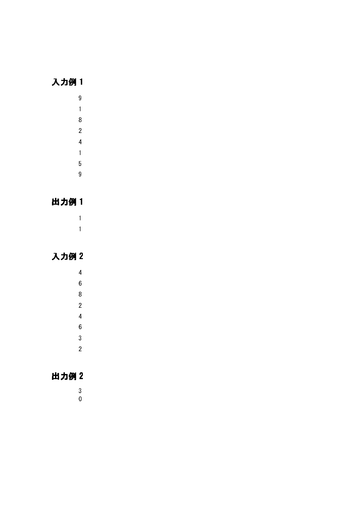# 入力例 1

- $\boldsymbol{9}$  $\overline{1}$  $\boldsymbol{8}$  $\overline{2}$  $\overline{4}$  $\overline{1}$  $\overline{5}$ 
	- $\overline{9}$

# 出力例 1

 $\overline{1}$  $\overline{1}$ 

# 入力例 2

- $\overline{4}$  $6\phantom{a}$  $\overline{8}$  $\overline{2}$  $\overline{4}$  $\sqrt{6}$  $\overline{3}$
- 

 $\overline{2}$ 

- 出力例 2
	- $\begin{array}{c} 3 \\ 0 \end{array}$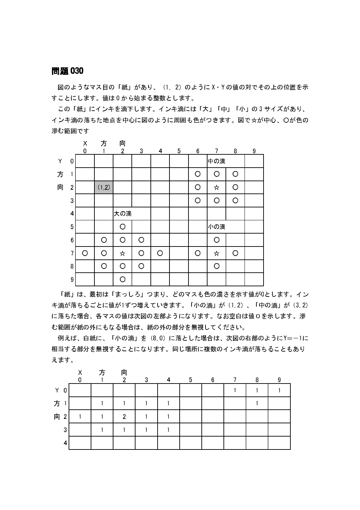図のようなマス目の「紙」があり、 (1, 2) のように X Y の値の対でその上の位置を示 すことにします。値は0から始まる整数とします。

この「紙」にインキを滴下します。インキ滴には「大」「中」「小」の3サイズがあり、 インキ滴の落ちた地点を中心に図のように周囲も色がつきます。図で☆が中心、〇が色の 滲む範囲です



「紙」は、最初は「まっしろ」つまり、どのマスも色の濃さを示す値が0とします。イン キ滴が落ちるごとに値が1ずつ増えていきます。「小の滴」が (1,2) 、「中の滴」が (3,2) に落ちた場合、各マスの値は次図の左部ようになります。なお空白は値0を示します。滲 む範囲が紙の外にもなる場合は、紙の外の部分を無視してください。

例えば、白紙に、「小の滴」を (8,0) に落とした場合は、次図の右部のようにY=-1に 相当する部分を無視することになります。同じ場所に複数のインキ滴が落ちることもあり えます。

|                     | X<br>0 | 方 | 向<br>$\overline{2}$ | 3 | 4 | 5 | 6 | 8 | 9 |
|---------------------|--------|---|---------------------|---|---|---|---|---|---|
| Y<br>0              |        |   |                     |   |   |   |   |   |   |
| 方                   |        |   |                     |   |   |   |   |   |   |
| 向<br>2 <sub>1</sub> |        |   | $\overline{2}$      |   |   |   |   |   |   |
| ◠<br>د٠             |        |   |                     |   |   |   |   |   |   |
|                     |        |   |                     |   |   |   |   |   |   |